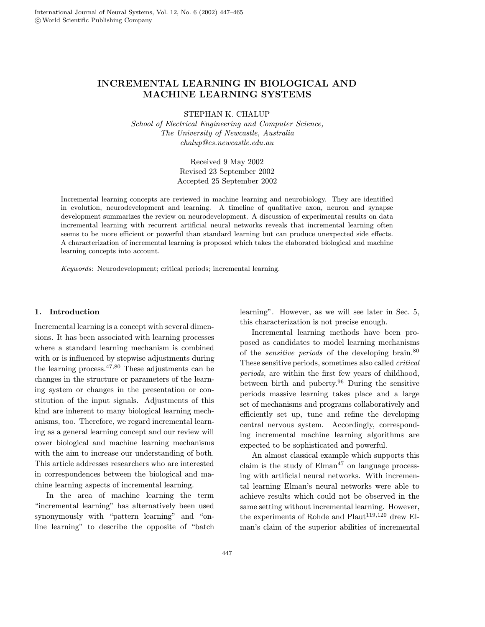# INCREMENTAL LEARNING IN BIOLOGICAL AND MACHINE LEARNING SYSTEMS

STEPHAN K. CHALUP

School of Electrical Engineering and Computer Science, The University of Newcastle, Australia chalup@cs.newcastle.edu.au

> Received 9 May 2002 Revised 23 September 2002 Accepted 25 September 2002

Incremental learning concepts are reviewed in machine learning and neurobiology. They are identified in evolution, neurodevelopment and learning. A timeline of qualitative axon, neuron and synapse development summarizes the review on neurodevelopment. A discussion of experimental results on data incremental learning with recurrent artificial neural networks reveals that incremental learning often seems to be more efficient or powerful than standard learning but can produce unexpected side effects. A characterization of incremental learning is proposed which takes the elaborated biological and machine learning concepts into account.

Keywords: Neurodevelopment; critical periods; incremental learning.

#### 1. Introduction

Incremental learning is a concept with several dimensions. It has been associated with learning processes where a standard learning mechanism is combined with or is influenced by stepwise adjustments during the learning process.  $47,80$  These adjustments can be changes in the structure or parameters of the learning system or changes in the presentation or constitution of the input signals. Adjustments of this kind are inherent to many biological learning mechanisms, too. Therefore, we regard incremental learning as a general learning concept and our review will cover biological and machine learning mechanisms with the aim to increase our understanding of both. This article addresses researchers who are interested in correspondences between the biological and machine learning aspects of incremental learning.

In the area of machine learning the term "incremental learning" has alternatively been used synonymously with "pattern learning" and "online learning" to describe the opposite of "batch learning". However, as we will see later in Sec. 5, this characterization is not precise enough.

Incremental learning methods have been proposed as candidates to model learning mechanisms of the *sensitive periods* of the developing brain.<sup>80</sup> These sensitive periods, sometimes also called critical periods, are within the first few years of childhood, between birth and puberty.<sup>96</sup> During the sensitive periods massive learning takes place and a large set of mechanisms and programs collaboratively and efficiently set up, tune and refine the developing central nervous system. Accordingly, corresponding incremental machine learning algorithms are expected to be sophisticated and powerful.

An almost classical example which supports this claim is the study of  $E$ lman<sup>47</sup> on language processing with artificial neural networks. With incremental learning Elman's neural networks were able to achieve results which could not be observed in the same setting without incremental learning. However, the experiments of Rohde and Plaut<sup>119,120</sup> drew Elman's claim of the superior abilities of incremental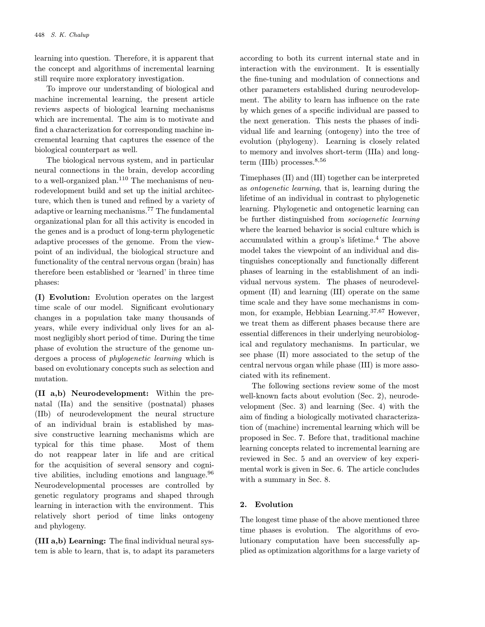learning into question. Therefore, it is apparent that the concept and algorithms of incremental learning still require more exploratory investigation.

To improve our understanding of biological and machine incremental learning, the present article reviews aspects of biological learning mechanisms which are incremental. The aim is to motivate and find a characterization for corresponding machine incremental learning that captures the essence of the biological counterpart as well.

The biological nervous system, and in particular neural connections in the brain, develop according to a well-organized plan.<sup>110</sup> The mechanisms of neurodevelopment build and set up the initial architecture, which then is tuned and refined by a variety of adaptive or learning mechanisms.<sup>77</sup> The fundamental organizational plan for all this activity is encoded in the genes and is a product of long-term phylogenetic adaptive processes of the genome. From the viewpoint of an individual, the biological structure and functionality of the central nervous organ (brain) has therefore been established or 'learned' in three time phases:

(I) Evolution: Evolution operates on the largest time scale of our model. Significant evolutionary changes in a population take many thousands of years, while every individual only lives for an almost negligibly short period of time. During the time phase of evolution the structure of the genome undergoes a process of phylogenetic learning which is based on evolutionary concepts such as selection and mutation.

(II a,b) Neurodevelopment: Within the prenatal (IIa) and the sensitive (postnatal) phases (IIb) of neurodevelopment the neural structure of an individual brain is established by massive constructive learning mechanisms which are typical for this time phase. Most of them do not reappear later in life and are critical for the acquisition of several sensory and cognitive abilities, including emotions and language. $96$ Neurodevelopmental processes are controlled by genetic regulatory programs and shaped through learning in interaction with the environment. This relatively short period of time links ontogeny and phylogeny.

(III a,b) Learning: The final individual neural system is able to learn, that is, to adapt its parameters according to both its current internal state and in interaction with the environment. It is essentially the fine-tuning and modulation of connections and other parameters established during neurodevelopment. The ability to learn has influence on the rate by which genes of a specific individual are passed to the next generation. This nests the phases of individual life and learning (ontogeny) into the tree of evolution (phylogeny). Learning is closely related to memory and involves short-term (IIIa) and longterm (IIIb) processes. $8,56$ 

Timephases (II) and (III) together can be interpreted as ontogenetic learning, that is, learning during the lifetime of an individual in contrast to phylogenetic learning. Phylogenetic and ontogenetic learning can be further distinguished from sociogenetic learning where the learned behavior is social culture which is accumulated within a group's lifetime.<sup>4</sup> The above model takes the viewpoint of an individual and distinguishes conceptionally and functionally different phases of learning in the establishment of an individual nervous system. The phases of neurodevelopment (II) and learning (III) operate on the same time scale and they have some mechanisms in common, for example, Hebbian Learning.<sup>37</sup>,<sup>67</sup> However, we treat them as different phases because there are essential differences in their underlying neurobiological and regulatory mechanisms. In particular, we see phase (II) more associated to the setup of the central nervous organ while phase (III) is more associated with its refinement.

The following sections review some of the most well-known facts about evolution (Sec. 2), neurodevelopment (Sec. 3) and learning (Sec. 4) with the aim of finding a biologically motivated characterization of (machine) incremental learning which will be proposed in Sec. 7. Before that, traditional machine learning concepts related to incremental learning are reviewed in Sec. 5 and an overview of key experimental work is given in Sec. 6. The article concludes with a summary in Sec. 8.

## 2. Evolution

The longest time phase of the above mentioned three time phases is evolution. The algorithms of evolutionary computation have been successfully applied as optimization algorithms for a large variety of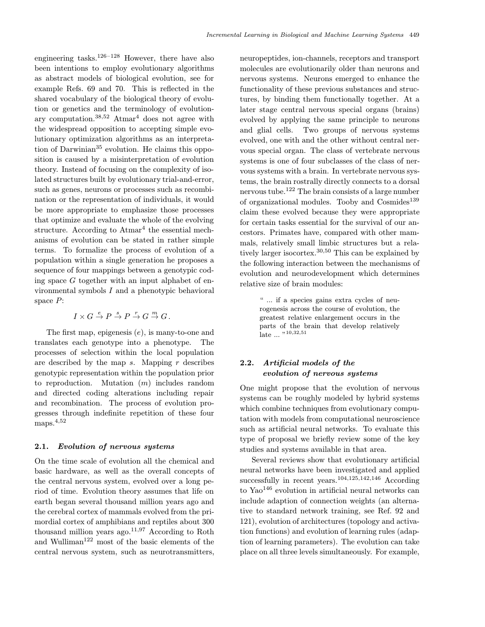engineering tasks.<sup>126–128</sup> However, there have also been intentions to employ evolutionary algorithms as abstract models of biological evolution, see for example Refs. 69 and 70. This is reflected in the shared vocabulary of the biological theory of evolution or genetics and the terminology of evolutionary computation. $38,52$  Atmar<sup>4</sup> does not agree with the widespread opposition to accepting simple evolutionary optimization algorithms as an interpretation of Darwinian<sup>35</sup> evolution. He claims this opposition is caused by a misinterpretation of evolution theory. Instead of focusing on the complexity of isolated structures built by evolutionary trial-and-error, such as genes, neurons or processes such as recombination or the representation of individuals, it would be more appropriate to emphasize those processes that optimize and evaluate the whole of the evolving structure. According to  $Atmar<sup>4</sup>$  the essential mechanisms of evolution can be stated in rather simple terms. To formalize the process of evolution of a population within a single generation he proposes a sequence of four mappings between a genotypic coding space  $G$  together with an input alphabet of environmental symbols I and a phenotypic behavioral space P:

$$
I\times G\stackrel{e}{\to}P\stackrel{s}{\to}P\stackrel{r}{\to}G\stackrel{m}{\to}G\,.
$$

The first map, epigenesis  $(e)$ , is many-to-one and translates each genotype into a phenotype. The processes of selection within the local population are described by the map  $s$ . Mapping  $r$  describes genotypic representation within the population prior to reproduction. Mutation  $(m)$  includes random and directed coding alterations including repair and recombination. The process of evolution progresses through indefinite repetition of these four  $maps.$ <sup>4,52</sup>

#### 2.1. Evolution of nervous systems

On the time scale of evolution all the chemical and basic hardware, as well as the overall concepts of the central nervous system, evolved over a long period of time. Evolution theory assumes that life on earth began several thousand million years ago and the cerebral cortex of mammals evolved from the primordial cortex of amphibians and reptiles about 300 thousand million years ago. $11,97$  According to Roth and Wulliman<sup>122</sup> most of the basic elements of the central nervous system, such as neurotransmitters,

neuropeptides, ion-channels, receptors and transport molecules are evolutionarily older than neurons and nervous systems. Neurons emerged to enhance the functionality of these previous substances and structures, by binding them functionally together. At a later stage central nervous special organs (brains) evolved by applying the same principle to neurons and glial cells. Two groups of nervous systems evolved, one with and the other without central nervous special organ. The class of vertebrate nervous systems is one of four subclasses of the class of nervous systems with a brain. In vertebrate nervous systems, the brain rostrally directly connects to a dorsal nervous tube.<sup>122</sup> The brain consists of a large number of organizational modules. Tooby and Cosmides<sup>139</sup> claim these evolved because they were appropriate for certain tasks essential for the survival of our ancestors. Primates have, compared with other mammals, relatively small limbic structures but a relatively larger isocortex.<sup>30,50</sup> This can be explained by the following interaction between the mechanisms of evolution and neurodevelopment which determines relative size of brain modules:

> " ... if a species gains extra cycles of neurogenesis across the course of evolution, the greatest relative enlargement occurs in the parts of the brain that develop relatively late  $\ldots$   $\overline{10,32,51}$

### 2.2. Artificial models of the evolution of nervous systems

One might propose that the evolution of nervous systems can be roughly modeled by hybrid systems which combine techniques from evolutionary computation with models from computational neuroscience such as artificial neural networks. To evaluate this type of proposal we briefly review some of the key studies and systems available in that area.

Several reviews show that evolutionary artificial neural networks have been investigated and applied successfully in recent years.<sup>104,125,142,146</sup> According to  ${\rm Yao^{146}}$  evolution in artificial neural networks can include adaption of connection weights (an alternative to standard network training, see Ref. 92 and 121), evolution of architectures (topology and activation functions) and evolution of learning rules (adaption of learning parameters). The evolution can take place on all three levels simultaneously. For example,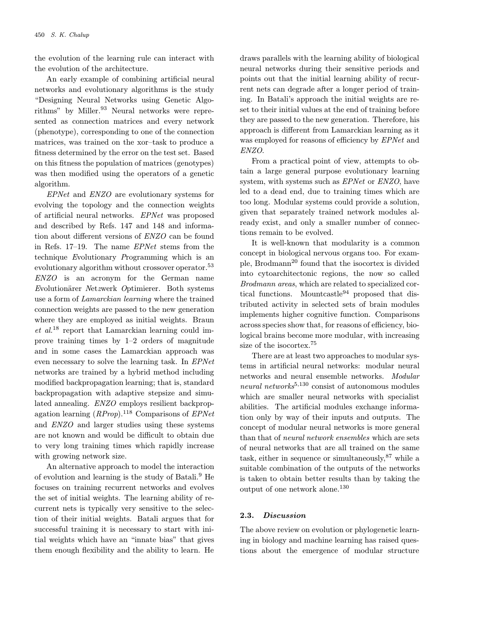the evolution of the learning rule can interact with the evolution of the architecture.

An early example of combining artificial neural networks and evolutionary algorithms is the study "Designing Neural Networks using Genetic Algorithms" by Miller.<sup>93</sup> Neural networks were represented as connection matrices and every network (phenotype), corresponding to one of the connection matrices, was trained on the xor–task to produce a fitness determined by the error on the test set. Based on this fitness the population of matrices (genotypes) was then modified using the operators of a genetic algorithm.

EPNet and ENZO are evolutionary systems for evolving the topology and the connection weights of artificial neural networks. EPNet was proposed and described by Refs. 147 and 148 and information about different versions of ENZO can be found in Refs. 17–19. The name EPNet stems from the technique Evolutionary Programming which is an evolutionary algorithm without crossover operator.<sup>53</sup> ENZO is an acronym for the German name Evolution¨arer Netzwerk Optimierer. Both systems use a form of Lamarckian learning where the trained connection weights are passed to the new generation where they are employed as initial weights. Braun  $et\ al.<sup>18</sup>$  report that Lamarckian learning could improve training times by 1–2 orders of magnitude and in some cases the Lamarckian approach was even necessary to solve the learning task. In EPNet networks are trained by a hybrid method including modified backpropagation learning; that is, standard backpropagation with adaptive stepsize and simulated annealing. ENZO employs resilient backpropagation learning  $(RProp)$ .<sup>118</sup> Comparisons of  $EPNet$ and ENZO and larger studies using these systems are not known and would be difficult to obtain due to very long training times which rapidly increase with growing network size.

An alternative approach to model the interaction of evolution and learning is the study of Batali.<sup>9</sup> He focuses on training recurrent networks and evolves the set of initial weights. The learning ability of recurrent nets is typically very sensitive to the selection of their initial weights. Batali argues that for successful training it is necessary to start with initial weights which have an "innate bias" that gives them enough flexibility and the ability to learn. He

draws parallels with the learning ability of biological neural networks during their sensitive periods and points out that the initial learning ability of recurrent nets can degrade after a longer period of training. In Batali's approach the initial weights are reset to their initial values at the end of training before they are passed to the new generation. Therefore, his approach is different from Lamarckian learning as it was employed for reasons of efficiency by EPNet and ENZO.

From a practical point of view, attempts to obtain a large general purpose evolutionary learning system, with systems such as EPNet or ENZO, have led to a dead end, due to training times which are too long. Modular systems could provide a solution, given that separately trained network modules already exist, and only a smaller number of connections remain to be evolved.

It is well-known that modularity is a common concept in biological nervous organs too. For example, Brodmann<sup>20</sup> found that the isocortex is divided into cytoarchitectonic regions, the now so called Brodmann areas, which are related to specialized cortical functions. Mountcastle $94$  proposed that distributed activity in selected sets of brain modules implements higher cognitive function. Comparisons across species show that, for reasons of efficiency, biological brains become more modular, with increasing size of the isocortex.<sup>75</sup>

There are at least two approaches to modular systems in artificial neural networks: modular neural networks and neural ensemble networks. Modular neural networks<sup>5,130</sup> consist of autonomous modules which are smaller neural networks with specialist abilities. The artificial modules exchange information only by way of their inputs and outputs. The concept of modular neural networks is more general than that of neural network ensembles which are sets of neural networks that are all trained on the same task, either in sequence or simultaneously,  $87$  while a suitable combination of the outputs of the networks is taken to obtain better results than by taking the output of one network alone.<sup>130</sup>

#### 2.3. Discussion

The above review on evolution or phylogenetic learning in biology and machine learning has raised questions about the emergence of modular structure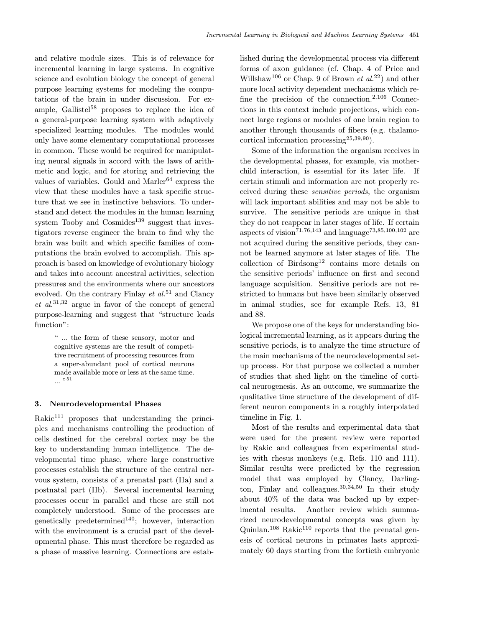and relative module sizes. This is of relevance for incremental learning in large systems. In cognitive science and evolution biology the concept of general purpose learning systems for modeling the computations of the brain in under discussion. For example, Gallistel<sup>58</sup> proposes to replace the idea of a general-purpose learning system with adaptively specialized learning modules. The modules would only have some elementary computational processes in common. These would be required for manipulating neural signals in accord with the laws of arithmetic and logic, and for storing and retrieving the values of variables. Gould and  $\mathit{Marler}^{64}$  express the view that these modules have a task specific structure that we see in instinctive behaviors. To understand and detect the modules in the human learning system Tooby and  $\text{Cosmides}^{139}$  suggest that investigators reverse engineer the brain to find why the brain was built and which specific families of computations the brain evolved to accomplish. This approach is based on knowledge of evolutionary biology and takes into account ancestral activities, selection pressures and the environments where our ancestors evolved. On the contrary Finlay  $et~al.^{51}$  and Clancy  $et \ al^{31,32}$  argue in favor of the concept of general purpose-learning and suggest that "structure leads function":

> " ... the form of these sensory, motor and cognitive systems are the result of competitive recruitment of processing resources from a super-abundant pool of cortical neurons made available more or less at the same time.  $\ldots$  "

#### 3. Neurodevelopmental Phases

 $Rakic<sup>111</sup>$  proposes that understanding the principles and mechanisms controlling the production of cells destined for the cerebral cortex may be the key to understanding human intelligence. The developmental time phase, where large constructive processes establish the structure of the central nervous system, consists of a prenatal part (IIa) and a postnatal part (IIb). Several incremental learning processes occur in parallel and these are still not completely understood. Some of the processes are genetically predetermined<sup>140</sup>; however, interaction with the environment is a crucial part of the developmental phase. This must therefore be regarded as a phase of massive learning. Connections are established during the developmental process via different forms of axon guidance (cf. Chap. 4 of Price and Willshaw<sup>106</sup> or Chap. 9 of Brown *et al.*<sup>22</sup>) and other more local activity dependent mechanisms which refine the precision of the connection. $2,106$  Connections in this context include projections, which connect large regions or modules of one brain region to another through thousands of fibers (e.g. thalamocortical information processing $25,39,90$ .

Some of the information the organism receives in the developmental phases, for example, via motherchild interaction, is essential for its later life. If certain stimuli and information are not properly received during these sensitive periods, the organism will lack important abilities and may not be able to survive. The sensitive periods are unique in that they do not reappear in later stages of life. If certain aspects of vision<sup> $71,76,143$ </sup> and language<sup> $73,85,100,102$ </sup> are not acquired during the sensitive periods, they cannot be learned anymore at later stages of life. The  $\text{collection of Birdsong}^{12}$  contains more details on the sensitive periods' influence on first and second language acquisition. Sensitive periods are not restricted to humans but have been similarly observed in animal studies, see for example Refs. 13, 81 and 88.

We propose one of the keys for understanding biological incremental learning, as it appears during the sensitive periods, is to analyze the time structure of the main mechanisms of the neurodevelopmental setup process. For that purpose we collected a number of studies that shed light on the timeline of cortical neurogenesis. As an outcome, we summarize the qualitative time structure of the development of different neuron components in a roughly interpolated timeline in Fig. 1.

Most of the results and experimental data that were used for the present review were reported by Rakic and colleagues from experimental studies with rhesus monkeys (e.g. Refs. 110 and 111). Similar results were predicted by the regression model that was employed by Clancy, Darlington, Finlay and colleagues.  $30,34,50$  In their study about 40% of the data was backed up by experimental results. Another review which summarized neurodevelopmental concepts was given by  $Quinlan.<sup>108</sup> Rakic<sup>110</sup> reports that the prenatal gen$ esis of cortical neurons in primates lasts approximately 60 days starting from the fortieth embryonic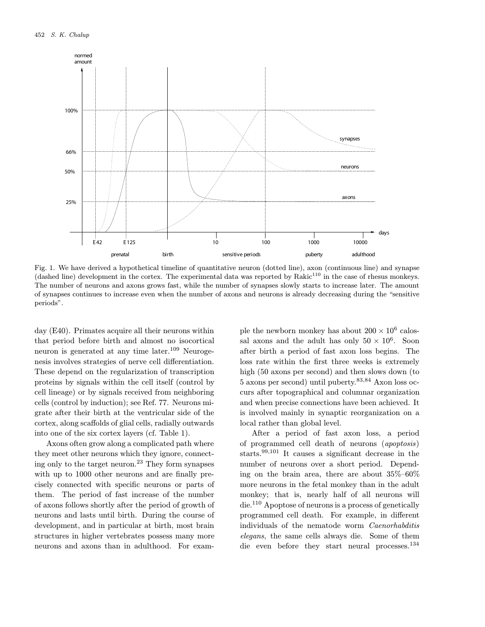

Fig. 1. We have derived a hypothetical timeline of quantitative neuron (dotted line), axon (continuous line) and synapse  $(dashed line) development in the cortex. The experimental data was reported by Rakic<sup>110</sup> in the case of the same makes.$ The number of neurons and axons grows fast, while the number of synapses slowly starts to increase later. The amount of synapses continues to increase even when the number of axons and neurons is already decreasing during the "sensitive periods".

day (E40). Primates acquire all their neurons within that period before birth and almost no isocortical neuron is generated at any time later.<sup>109</sup> Neurogenesis involves strategies of nerve cell differentiation. These depend on the regularization of transcription proteins by signals within the cell itself (control by cell lineage) or by signals received from neighboring cells (control by induction); see Ref. 77. Neurons migrate after their birth at the ventricular side of the cortex, along scaffolds of glial cells, radially outwards into one of the six cortex layers (cf. Table 1).

Axons often grow along a complicated path where they meet other neurons which they ignore, connecting only to the target neuron.<sup>23</sup> They form synapses with up to 1000 other neurons and are finally precisely connected with specific neurons or parts of them. The period of fast increase of the number of axons follows shortly after the period of growth of neurons and lasts until birth. During the course of development, and in particular at birth, most brain structures in higher vertebrates possess many more neurons and axons than in adulthood. For example the newborn monkey has about  $200 \times 10^6$  calossal axons and the adult has only  $50 \times 10^6$ . Soon after birth a period of fast axon loss begins. The loss rate within the first three weeks is extremely high (50 axons per second) and then slows down (to 5 axons per second) until puberty.<sup>83</sup>,<sup>84</sup> Axon loss occurs after topographical and columnar organization and when precise connections have been achieved. It is involved mainly in synaptic reorganization on a local rather than global level.

After a period of fast axon loss, a period of programmed cell death of neurons (apoptosis) starts.<sup>99</sup>,<sup>101</sup> It causes a significant decrease in the number of neurons over a short period. Depending on the brain area, there are about 35%–60% more neurons in the fetal monkey than in the adult monkey; that is, nearly half of all neurons will die.<sup>110</sup> Apoptose of neurons is a process of genetically programmed cell death. For example, in different individuals of the nematode worm Caenorhabditis elegans, the same cells always die. Some of them die even before they start neural processes.<sup>134</sup>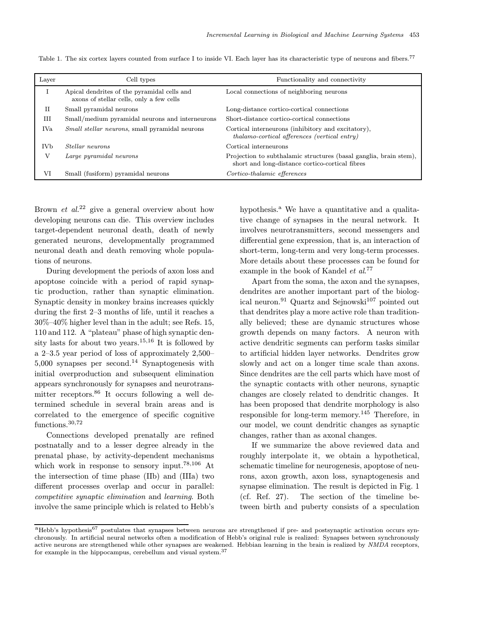| Layer | Cell types                                                                              | Functionality and connectivity                                                                                       |
|-------|-----------------------------------------------------------------------------------------|----------------------------------------------------------------------------------------------------------------------|
| -1    | Apical dendrites of the pyramidal cells and<br>axons of stellar cells, only a few cells | Local connections of neighboring neurons                                                                             |
| и     | Small pyramidal neurons                                                                 | Long-distance cortico-cortical connections                                                                           |
| Ш     | Small/medium pyramidal neurons and interneurons                                         | Short-distance cortico-cortical connections                                                                          |
| IVa   | Small stellar neurons, small pyramidal neurons                                          | Cortical interneurons (inhibitory and excitatory),<br>thalamo-cortical afferences (vertical entry)                   |
| IVb   | <i>Stellar neurons</i>                                                                  | Cortical interneurons                                                                                                |
| V     | Large pyramidal neurons                                                                 | Projection to subthalamic structures (basal ganglia, brain stem),<br>short and long-distance cortico-cortical fibres |
| VI    | Small (fusiform) pyramidal neurons                                                      | Cortico-thalamic efferences                                                                                          |

Table 1. The six cortex layers counted from surface I to inside VI. Each layer has its characteristic type of neurons and fibers.<sup>77</sup>

Brown *et al.*<sup>22</sup> give a general overview about how developing neurons can die. This overview includes target-dependent neuronal death, death of newly generated neurons, developmentally programmed neuronal death and death removing whole populations of neurons.

During development the periods of axon loss and apoptose coincide with a period of rapid synaptic production, rather than synaptic elimination. Synaptic density in monkey brains increases quickly during the first 2–3 months of life, until it reaches a 30%–40% higher level than in the adult; see Refs. 15, 110 and 112. A "plateau" phase of high synaptic density lasts for about two years.<sup>15,16</sup> It is followed by a 2–3.5 year period of loss of approximately 2,500–  $5,000$  synapses per second.<sup>14</sup> Synaptogenesis with initial overproduction and subsequent elimination appears synchronously for synapses and neurotransmitter receptors.<sup>86</sup> It occurs following a well determined schedule in several brain areas and is correlated to the emergence of specific cognitive functions.30,<sup>72</sup>

Connections developed prenatally are refined postnatally and to a lesser degree already in the prenatal phase, by activity-dependent mechanisms which work in response to sensory input.<sup>78</sup>,<sup>106</sup> At the intersection of time phase (IIb) and (IIIa) two different processes overlap and occur in parallel: competitive synaptic elimination and learning. Both involve the same principle which is related to Hebb's hypothesis.<sup>a</sup> We have a quantitative and a qualitative change of synapses in the neural network. It involves neurotransmitters, second messengers and differential gene expression, that is, an interaction of short-term, long-term and very long-term processes. More details about these processes can be found for example in the book of Kandel *et al.*<sup>77</sup>

Apart from the soma, the axon and the synapses, dendrites are another important part of the biological neuron.<sup>91</sup> Quartz and Sejnowski<sup>107</sup> pointed out that dendrites play a more active role than traditionally believed; these are dynamic structures whose growth depends on many factors. A neuron with active dendritic segments can perform tasks similar to artificial hidden layer networks. Dendrites grow slowly and act on a longer time scale than axons. Since dendrites are the cell parts which have most of the synaptic contacts with other neurons, synaptic changes are closely related to dendritic changes. It has been proposed that dendrite morphology is also responsible for long-term memory.<sup>145</sup> Therefore, in our model, we count dendritic changes as synaptic changes, rather than as axonal changes.

If we summarize the above reviewed data and roughly interpolate it, we obtain a hypothetical, schematic timeline for neurogenesis, apoptose of neurons, axon growth, axon loss, synaptogenesis and synapse elimination. The result is depicted in Fig. 1 (cf. Ref. 27). The section of the timeline between birth and puberty consists of a speculation

<sup>&</sup>lt;sup>a</sup>Hebb's hypothesis<sup>67</sup> postulates that synapses between neurons are strengthened if pre- and postsynaptic activation occurs synchronously. In artificial neural networks often a modification of Hebb's original rule is realized: Synapses between synchronously active neurons are strengthened while other synapses are weakened. Hebbian learning in the brain is realized by NMDA receptors, for example in the hippocampus, cerebellum and visual system.<sup>37</sup>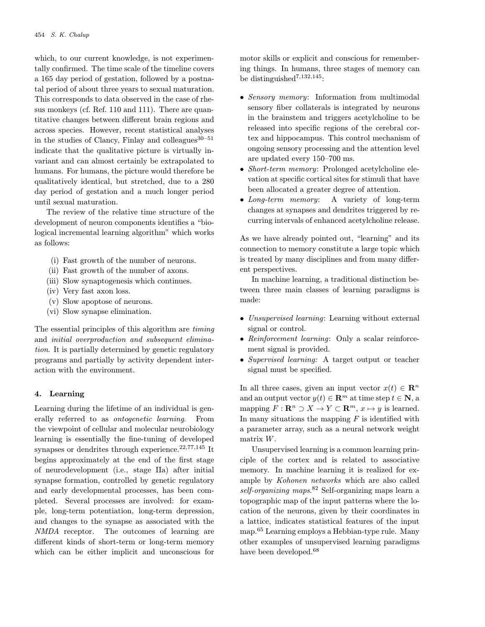which, to our current knowledge, is not experimentally confirmed. The time scale of the timeline covers a 165 day period of gestation, followed by a postnatal period of about three years to sexual maturation. This corresponds to data observed in the case of rhesus monkeys (cf. Ref. 110 and 111). There are quantitative changes between different brain regions and across species. However, recent statistical analyses in the studies of Clancy, Finlay and colleagues  $30-51$ indicate that the qualitative picture is virtually invariant and can almost certainly be extrapolated to humans. For humans, the picture would therefore be qualitatively identical, but stretched, due to a 280 day period of gestation and a much longer period until sexual maturation.

The review of the relative time structure of the development of neuron components identifies a "biological incremental learning algorithm" which works as follows:

- (i) Fast growth of the number of neurons.
- (ii) Fast growth of the number of axons.
- (iii) Slow synaptogenesis which continues.
- (iv) Very fast axon loss.
- (v) Slow apoptose of neurons.
- (vi) Slow synapse elimination.

The essential principles of this algorithm are timing and initial overproduction and subsequent elimination. It is partially determined by genetic regulatory programs and partially by activity dependent interaction with the environment.

#### 4. Learning

Learning during the lifetime of an individual is generally referred to as ontogenetic learning. From the viewpoint of cellular and molecular neurobiology learning is essentially the fine-tuning of developed synapses or dendrites through experience.<sup>22,77,145</sup> It begins approximately at the end of the first stage of neurodevelopment (i.e., stage IIa) after initial synapse formation, controlled by genetic regulatory and early developmental processes, has been completed. Several processes are involved: for example, long-term potentiation, long-term depression, and changes to the synapse as associated with the NMDA receptor. The outcomes of learning are different kinds of short-term or long-term memory which can be either implicit and unconscious for motor skills or explicit and conscious for remembering things. In humans, three stages of memory can be distinguished<sup>7,132,145</sup>:

- *Sensory memory:* Information from multimodal sensory fiber collaterals is integrated by neurons in the brainstem and triggers acetylcholine to be released into specific regions of the cerebral cortex and hippocampus. This control mechanism of ongoing sensory processing and the attention level are updated every 150–700 ms.
- *Short-term memory*: Prolonged acetylcholine elevation at specific cortical sites for stimuli that have been allocated a greater degree of attention.
- Long-term memory: A variety of long-term changes at synapses and dendrites triggered by recurring intervals of enhanced acetylcholine release.

As we have already pointed out, "learning" and its connection to memory constitute a large topic which is treated by many disciplines and from many different perspectives.

In machine learning, a traditional distinction between three main classes of learning paradigms is made:

- Unsupervised learning: Learning without external signal or control.
- Reinforcement learning: Only a scalar reinforcement signal is provided.
- Supervised learning: A target output or teacher signal must be specified.

In all three cases, given an input vector  $x(t) \in \mathbb{R}^n$ and an output vector  $y(t) \in \mathbb{R}^m$  at time step  $t \in \mathbb{N}$ , a mapping  $F: \mathbf{R}^n \supset X \to Y \subset \mathbf{R}^m$ ,  $x \mapsto y$  is learned. In many situations the mapping  $F$  is identified with a parameter array, such as a neural network weight matrix W.

Unsupervised learning is a common learning principle of the cortex and is related to associative memory. In machine learning it is realized for example by Kohonen networks which are also called self-organizing maps. <sup>82</sup> Self-organizing maps learn a topographic map of the input patterns where the location of the neurons, given by their coordinates in a lattice, indicates statistical features of the input map.<sup>65</sup> Learning employs a Hebbian-type rule. Many other examples of unsupervised learning paradigms have been developed.<sup>68</sup>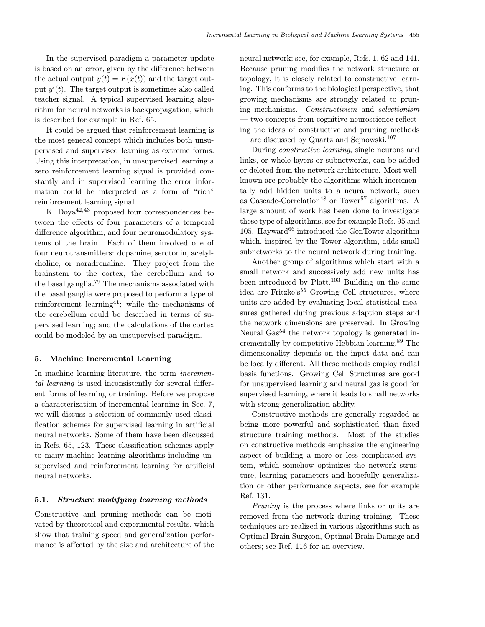In the supervised paradigm a parameter update is based on an error, given by the difference between the actual output  $y(t) = F(x(t))$  and the target output  $y'(t)$ . The target output is sometimes also called teacher signal. A typical supervised learning algorithm for neural networks is backpropagation, which is described for example in Ref. 65.

It could be argued that reinforcement learning is the most general concept which includes both unsupervised and supervised learning as extreme forms. Using this interpretation, in unsupervised learning a zero reinforcement learning signal is provided constantly and in supervised learning the error information could be interpreted as a form of "rich" reinforcement learning signal.

K. Doya<sup>42</sup>,<sup>43</sup> proposed four correspondences between the effects of four parameters of a temporal difference algorithm, and four neuromodulatory systems of the brain. Each of them involved one of four neurotransmitters: dopamine, serotonin, acetylcholine, or noradrenaline. They project from the brainstem to the cortex, the cerebellum and to the basal ganglia.<sup>79</sup> The mechanisms associated with the basal ganglia were proposed to perform a type of reinforcement learning<sup>41</sup>; while the mechanisms of the cerebellum could be described in terms of supervised learning; and the calculations of the cortex could be modeled by an unsupervised paradigm.

#### 5. Machine Incremental Learning

In machine learning literature, the term *incremen*tal learning is used inconsistently for several different forms of learning or training. Before we propose a characterization of incremental learning in Sec. 7, we will discuss a selection of commonly used classification schemes for supervised learning in artificial neural networks. Some of them have been discussed in Refs. 65, 123. These classification schemes apply to many machine learning algorithms including unsupervised and reinforcement learning for artificial neural networks.

#### 5.1. Structure modifying learning methods

Constructive and pruning methods can be motivated by theoretical and experimental results, which show that training speed and generalization performance is affected by the size and architecture of the neural network; see, for example, Refs. 1, 62 and 141. Because pruning modifies the network structure or topology, it is closely related to constructive learning. This conforms to the biological perspective, that growing mechanisms are strongly related to pruning mechanisms. Constructivism and selectionism — two concepts from cognitive neuroscience reflecting the ideas of constructive and pruning methods — are discussed by Quartz and Sejnowski.<sup>107</sup>

During constructive learning, single neurons and links, or whole layers or subnetworks, can be added or deleted from the network architecture. Most wellknown are probably the algorithms which incrementally add hidden units to a neural network, such as Cascade-Correlation<sup>48</sup> or Tower<sup>57</sup> algorithms. A large amount of work has been done to investigate these type of algorithms, see for example Refs. 95 and 105. Hayward<sup>66</sup> introduced the GenTower algorithm which, inspired by the Tower algorithm, adds small subnetworks to the neural network during training.

Another group of algorithms which start with a small network and successively add new units has been introduced by Platt.<sup>103</sup> Building on the same idea are Fritzke's<sup>55</sup> Growing Cell structures, where units are added by evaluating local statistical measures gathered during previous adaption steps and the network dimensions are preserved. In Growing Neural Gas<sup>54</sup> the network topology is generated incrementally by competitive Hebbian learning.<sup>89</sup> The dimensionality depends on the input data and can be locally different. All these methods employ radial basis functions. Growing Cell Structures are good for unsupervised learning and neural gas is good for supervised learning, where it leads to small networks with strong generalization ability.

Constructive methods are generally regarded as being more powerful and sophisticated than fixed structure training methods. Most of the studies on constructive methods emphasize the engineering aspect of building a more or less complicated system, which somehow optimizes the network structure, learning parameters and hopefully generalization or other performance aspects, see for example Ref. 131.

Pruning is the process where links or units are removed from the network during training. These techniques are realized in various algorithms such as Optimal Brain Surgeon, Optimal Brain Damage and others; see Ref. 116 for an overview.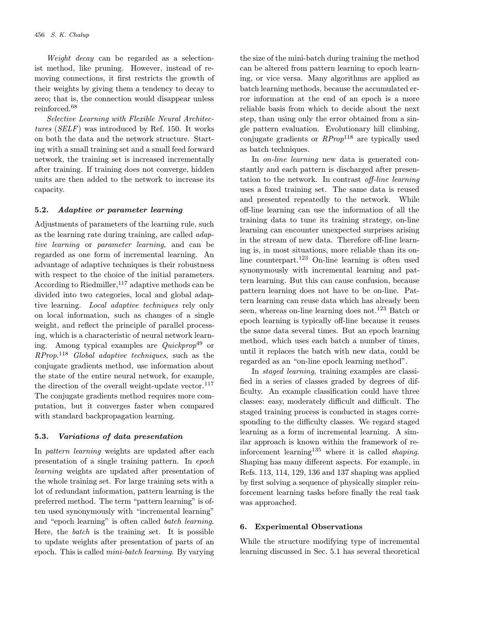Weight decay can be regarded as a selectionist method, like pruning. However, instead of removing connections, it first restricts the growth of their weights by giving them a tendency to decay to zero; that is, the connection would disappear unless reinforced.<sup>68</sup>

Selective Learning with Flexible Neural Architectures (SELF) was introduced by Ref. 150. It works on both the data and the network structure. Starting with a small training set and a small feed forward network, the training set is increased incrementally after training. If training does not converge, hidden units are then added to the network to increase its capacity.

#### 5.2. Adaptive or parameter learning

Adjustments of parameters of the learning rule, such as the learning rate during training, are called adaptive learning or parameter learning, and can be regarded as one form of incremental learning. An advantage of adaptive techniques is their robustness with respect to the choice of the initial parameters. According to Riedmiller,  $117$  adaptive methods can be divided into two categories, local and global adaptive learning. Local adaptive techniques rely only on local information, such as changes of a single weight, and reflect the principle of parallel processing, which is a characteristic of neural network learning. Among typical examples are  $Quickprop^{49}$  or  $RProp<sup>118</sup>$  Global adaptive techniques, such as the conjugate gradients method, use information about the state of the entire neural network, for example, the direction of the overall weight-update vector. $117$ The conjugate gradients method requires more computation, but it converges faster when compared with standard backpropagation learning.

#### 5.3. Variations of data presentation

In *pattern learning* weights are updated after each presentation of a single training pattern. In epoch learning weights are updated after presentation of the whole training set. For large training sets with a lot of redundant information, pattern learning is the preferred method. The term "pattern learning" is often used synonymously with "incremental learning" and "epoch learning" is often called batch learning. Here, the batch is the training set. It is possible to update weights after presentation of parts of an epoch. This is called mini-batch learning. By varying the size of the mini-batch during training the method can be altered from pattern learning to epoch learning, or vice versa. Many algorithms are applied as batch learning methods, because the accumulated error information at the end of an epoch is a more reliable basis from which to decide about the next step, than using only the error obtained from a single pattern evaluation. Evolutionary hill climbing, conjugate gradients or  $RProp^{118}$  are typically used as batch techniques.

In *on-line learning* new data is generated constantly and each pattern is discharged after presentation to the network. In contrast off-line learning uses a fixed training set. The same data is reused and presented repeatedly to the network. While off-line learning can use the information of all the training data to tune its training strategy, on-line learning can encounter unexpected surprises arising in the stream of new data. Therefore off-line learning is, in most situations, more reliable than its online counterpart.<sup>123</sup> On-line learning is often used synonymously with incremental learning and pattern learning. But this can cause confusion, because pattern learning does not have to be on-line. Pattern learning can reuse data which has already been seen, whereas on-line learning does not.<sup>123</sup> Batch or epoch learning is typically off-line because it reuses the same data several times. But an epoch learning method, which uses each batch a number of times, until it replaces the batch with new data, could be regarded as an "on-line epoch learning method".

In staged learning, training examples are classified in a series of classes graded by degrees of difficulty. An example classification could have three classes: easy, moderately difficult and difficult. The staged training process is conducted in stages corresponding to the difficulty classes. We regard staged learning as a form of incremental learning. A similar approach is known within the framework of reinforcement learning<sup>135</sup> where it is called *shaping*. Shaping has many different aspects. For example, in Refs. 113, 114, 129, 136 and 137 shaping was applied by first solving a sequence of physically simpler reinforcement learning tasks before finally the real task was approached.

#### 6. Experimental Observations

While the structure modifying type of incremental learning discussed in Sec. 5.1 has several theoretical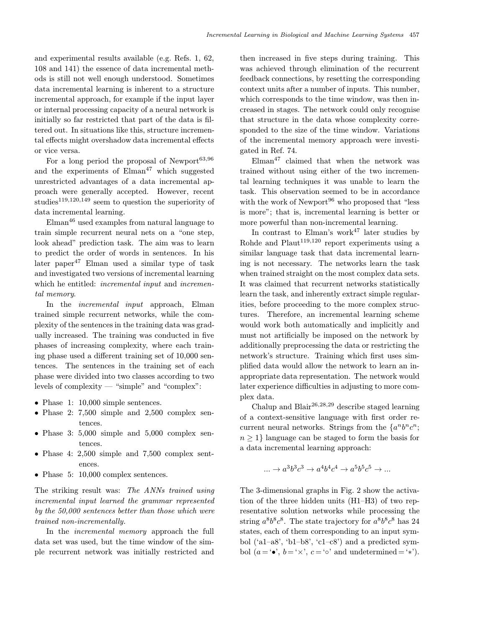and experimental results available (e.g. Refs. 1, 62, 108 and 141) the essence of data incremental methods is still not well enough understood. Sometimes data incremental learning is inherent to a structure incremental approach, for example if the input layer or internal processing capacity of a neural network is initially so far restricted that part of the data is filtered out. In situations like this, structure incremental effects might overshadow data incremental effects or vice versa.

For a long period the proposal of Newport<sup>63,96</sup> and the experiments of  $E$ lman<sup>47</sup> which suggested unrestricted advantages of a data incremental approach were generally accepted. However, recent studies<sup>119,120,149</sup> seem to question the superiority of data incremental learning.

 $E$ lman<sup>46</sup> used examples from natural language to train simple recurrent neural nets on a "one step, look ahead" prediction task. The aim was to learn to predict the order of words in sentences. In his later paper<sup>47</sup> Elman used a similar type of task and investigated two versions of incremental learning which he entitled: *incremental input* and *incremen*tal memory.

In the incremental input approach, Elman trained simple recurrent networks, while the complexity of the sentences in the training data was gradually increased. The training was conducted in five phases of increasing complexity, where each training phase used a different training set of 10,000 sentences. The sentences in the training set of each phase were divided into two classes according to two levels of complexity — "simple" and "complex":

- Phase 1: 10,000 simple sentences.
- Phase 2: 7,500 simple and 2,500 complex sentences.
- Phase 3: 5,000 simple and 5,000 complex sentences.
- Phase 4: 2,500 simple and 7,500 complex sentences.
- Phase 5: 10,000 complex sentences.

The striking result was: The ANNs trained using incremental input learned the grammar represented by the 50,000 sentences better than those which were trained non-incrementally.

In the incremental memory approach the full data set was used, but the time window of the simple recurrent network was initially restricted and then increased in five steps during training. This was achieved through elimination of the recurrent feedback connections, by resetting the corresponding context units after a number of inputs. This number, which corresponds to the time window, was then increased in stages. The network could only recognise that structure in the data whose complexity corresponded to the size of the time window. Variations of the incremental memory approach were investigated in Ref. 74.

 $E$ lman<sup>47</sup> claimed that when the network was trained without using either of the two incremental learning techniques it was unable to learn the task. This observation seemed to be in accordance with the work of Newport<sup>96</sup> who proposed that "less is more"; that is, incremental learning is better or more powerful than non-incremental learning.

In contrast to Elman's work<sup>47</sup> later studies by Rohde and  $Plaut<sup>119,120</sup>$  report experiments using a similar language task that data incremental learning is not necessary. The networks learn the task when trained straight on the most complex data sets. It was claimed that recurrent networks statistically learn the task, and inherently extract simple regularities, before proceeding to the more complex structures. Therefore, an incremental learning scheme would work both automatically and implicitly and must not artificially be imposed on the network by additionally preprocessing the data or restricting the network's structure. Training which first uses simplified data would allow the network to learn an inappropriate data representation. The network would later experience difficulties in adjusting to more complex data.

Chalup and Blair<sup>26,28,29</sup> describe staged learning of a context-sensitive language with first order recurrent neural networks. Strings from the  $\{a^n b^n c^n;$  $n \geq 1$  language can be staged to form the basis for a data incremental learning approach:

$$
\ldots \to a^3b^3c^3 \to a^4b^4c^4 \to a^5b^5c^5 \to \ldots
$$

The 3-dimensional graphs in Fig. 2 show the activation of the three hidden units (H1–H3) of two representative solution networks while processing the string  $a^8b^8c^8$ . The state trajectory for  $a^8b^8c^8$  has 24 states, each of them corresponding to an input symbol ('a1–a8', 'b1–b8', 'c1–c8') and a predicted symbol ( $a = \bullet$ ',  $b = \times$ ',  $c = \circ$ ' $\circ$ ' and undetermined = '\*').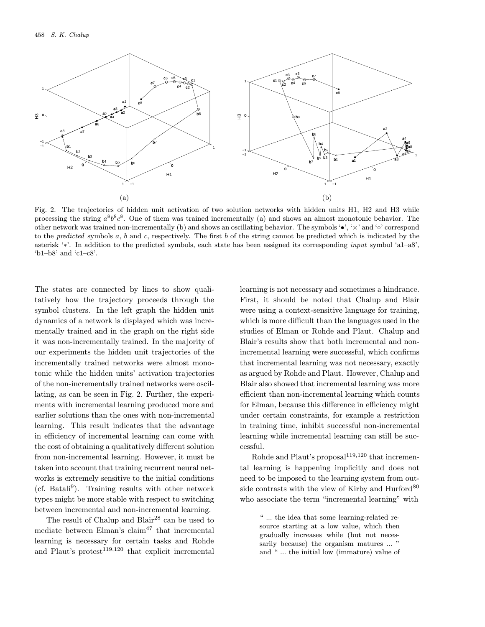

Fig. 2. The trajectories of hidden unit activation of two solution networks with hidden units H1, H2 and H3 while processing the string  $a^{8}b^{8}c^{8}$ . One of them was trained incrementally (a) and shows an almost monotonic behavior. The other network was trained non-incrementally (b) and shows an oscillating behavior. The symbols ' $\bullet$ ', ' $\times$ ' and ' $\circ$ ' correspond to the predicted symbols  $a, b$  and  $c$ , respectively. The first  $b$  of the string cannot be predicted which is indicated by the asterisk '∗'. In addition to the predicted symbols, each state has been assigned its corresponding input symbol 'a1–a8', 'b1–b8' and 'c1–c8'.

The states are connected by lines to show qualitatively how the trajectory proceeds through the symbol clusters. In the left graph the hidden unit dynamics of a network is displayed which was incrementally trained and in the graph on the right side it was non-incrementally trained. In the majority of our experiments the hidden unit trajectories of the incrementally trained networks were almost monotonic while the hidden units' activation trajectories of the non-incrementally trained networks were oscillating, as can be seen in Fig. 2. Further, the experiments with incremental learning produced more and earlier solutions than the ones with non-incremental learning. This result indicates that the advantage in efficiency of incremental learning can come with the cost of obtaining a qualitatively different solution from non-incremental learning. However, it must be taken into account that training recurrent neural networks is extremely sensitive to the initial conditions  $(cf. Batali<sup>9</sup>)$ . Training results with other network types might be more stable with respect to switching between incremental and non-incremental learning.

The result of Chalup and Blair<sup>28</sup> can be used to mediate between Elman's claim<sup>47</sup> that incremental learning is necessary for certain tasks and Rohde and Plaut's protest<sup>119,120</sup> that explicit incremental learning is not necessary and sometimes a hindrance. First, it should be noted that Chalup and Blair were using a context-sensitive language for training, which is more difficult than the languages used in the studies of Elman or Rohde and Plaut. Chalup and Blair's results show that both incremental and nonincremental learning were successful, which confirms that incremental learning was not necessary, exactly as argued by Rohde and Plaut. However, Chalup and Blair also showed that incremental learning was more efficient than non-incremental learning which counts for Elman, because this difference in efficiency might under certain constraints, for example a restriction in training time, inhibit successful non-incremental learning while incremental learning can still be successful.

Rohde and Plaut's proposal $119,120$  that incremental learning is happening implicitly and does not need to be imposed to the learning system from outside contrasts with the view of Kirby and Hurford<sup>80</sup> who associate the term "incremental learning" with

> " ... the idea that some learning-related resource starting at a low value, which then gradually increases while (but not necessarily because) the organism matures ... " and " ... the initial low (immature) value of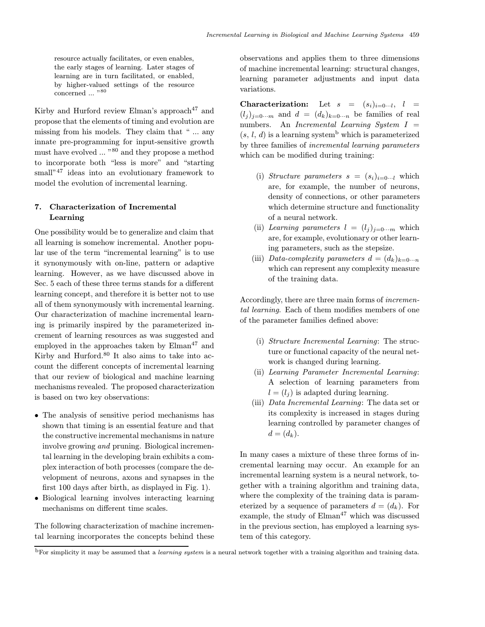resource actually facilitates, or even enables, the early stages of learning. Later stages of learning are in turn facilitated, or enabled, by higher-valued settings of the resource concerned ... "80

Kirby and Hurford review Elman's approach<sup>47</sup> and propose that the elements of timing and evolution are missing from his models. They claim that " ... any innate pre-programming for input-sensitive growth must have evolved ... "<sup>80</sup> and they propose a method to incorporate both "less is more" and "starting small<sup>"47</sup> ideas into an evolutionary framework to model the evolution of incremental learning.

## 7. Characterization of Incremental Learning

One possibility would be to generalize and claim that all learning is somehow incremental. Another popular use of the term "incremental learning" is to use it synonymously with on-line, pattern or adaptive learning. However, as we have discussed above in Sec. 5 each of these three terms stands for a different learning concept, and therefore it is better not to use all of them synonymously with incremental learning. Our characterization of machine incremental learning is primarily inspired by the parameterized increment of learning resources as was suggested and employed in the approaches taken by  $E$ lman<sup>47</sup> and Kirby and Hurford.<sup>80</sup> It also aims to take into account the different concepts of incremental learning that our review of biological and machine learning mechanisms revealed. The proposed characterization is based on two key observations:

- The analysis of sensitive period mechanisms has shown that timing is an essential feature and that the constructive incremental mechanisms in nature involve growing and pruning. Biological incremental learning in the developing brain exhibits a complex interaction of both processes (compare the development of neurons, axons and synapses in the first 100 days after birth, as displayed in Fig. 1).
- Biological learning involves interacting learning mechanisms on different time scales.

The following characterization of machine incremental learning incorporates the concepts behind these observations and applies them to three dimensions of machine incremental learning: structural changes, learning parameter adjustments and input data variations.

**Characterization:** Let  $s = (s_i)_{i=0...l}$ ,  $l =$  $(l_i)_{i=0\cdots m}$  and  $d = (d_k)_{k=0\cdots n}$  be families of real numbers. An *Incremental Learning System*  $I =$  $(s, l, d)$  is a learning system<sup>b</sup> which is parameterized by three families of incremental learning parameters which can be modified during training:

- (i) Structure parameters  $s = (s_i)_{i=0 \cdots l}$  which are, for example, the number of neurons, density of connections, or other parameters which determine structure and functionality of a neural network.
- (ii) Learning parameters  $l = (l_i)_{i=0...m}$  which are, for example, evolutionary or other learning parameters, such as the stepsize.
- (iii) Data-complexity parameters  $d = (d_k)_{k=0...n}$ which can represent any complexity measure of the training data.

Accordingly, there are three main forms of incremental learning. Each of them modifies members of one of the parameter families defined above:

- (i) Structure Incremental Learning: The structure or functional capacity of the neural network is changed during learning.
- (ii) Learning Parameter Incremental Learning: A selection of learning parameters from  $l = (l_i)$  is adapted during learning.
- (iii) Data Incremental Learning: The data set or its complexity is increased in stages during learning controlled by parameter changes of  $d = (d_k).$

In many cases a mixture of these three forms of incremental learning may occur. An example for an incremental learning system is a neural network, together with a training algorithm and training data, where the complexity of the training data is parameterized by a sequence of parameters  $d = (d_k)$ . For example, the study of Elman<sup>47</sup> which was discussed in the previous section, has employed a learning system of this category.

b<sub>For simplicity</sub> it may be assumed that a *learning system* is a neural network together with a training algorithm and training data.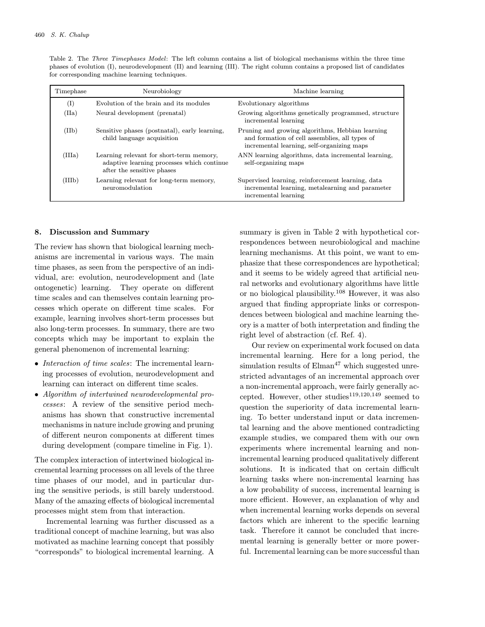Table 2. The Three Timephases Model: The left column contains a list of biological mechanisms within the three time phases of evolution (I), neurodevelopment (II) and learning (III). The right column contains a proposed list of candidates for corresponding machine learning techniques.

| Timephase      | Neurobiology                                                                                                         | Machine learning                                                                                                                                 |
|----------------|----------------------------------------------------------------------------------------------------------------------|--------------------------------------------------------------------------------------------------------------------------------------------------|
| ${}_{\rm (I)}$ | Evolution of the brain and its modules                                                                               | Evolutionary algorithms                                                                                                                          |
| (IIa)          | Neural development (prenatal)                                                                                        | Growing algorithms genetically programmed, structure<br>incremental learning                                                                     |
| (IIb)          | Sensitive phases (postnatal), early learning,<br>child language acquisition                                          | Pruning and growing algorithms, Hebbian learning<br>and formation of cell assemblies, all types of<br>incremental learning, self-organizing maps |
| (IIIa)         | Learning relevant for short-term memory,<br>adaptive learning processes which continue<br>after the sensitive phases | ANN learning algorithms, data incremental learning,<br>self-organizing maps                                                                      |
| (IIIb)         | Learning relevant for long-term memory,<br>neuromodulation                                                           | Supervised learning, reinforcement learning, data<br>incremental learning, metalearning and parameter<br>incremental learning                    |

#### 8. Discussion and Summary

The review has shown that biological learning mechanisms are incremental in various ways. The main time phases, as seen from the perspective of an individual, are: evolution, neurodevelopment and (late ontogenetic) learning. They operate on different time scales and can themselves contain learning processes which operate on different time scales. For example, learning involves short-term processes but also long-term processes. In summary, there are two concepts which may be important to explain the general phenomenon of incremental learning:

- Interaction of time scales: The incremental learning processes of evolution, neurodevelopment and learning can interact on different time scales.
- Algorithm of intertwined neurodevelopmental processes: A review of the sensitive period mechanisms has shown that constructive incremental mechanisms in nature include growing and pruning of different neuron components at different times during development (compare timeline in Fig. 1).

The complex interaction of intertwined biological incremental learning processes on all levels of the three time phases of our model, and in particular during the sensitive periods, is still barely understood. Many of the amazing effects of biological incremental processes might stem from that interaction.

Incremental learning was further discussed as a traditional concept of machine learning, but was also motivated as machine learning concept that possibly "corresponds" to biological incremental learning. A

summary is given in Table 2 with hypothetical correspondences between neurobiological and machine learning mechanisms. At this point, we want to emphasize that these correspondences are hypothetical; and it seems to be widely agreed that artificial neural networks and evolutionary algorithms have little or no biological plausibility.<sup>108</sup> However, it was also argued that finding appropriate links or correspondences between biological and machine learning theory is a matter of both interpretation and finding the right level of abstraction (cf. Ref. 4).

Our review on experimental work focused on data incremental learning. Here for a long period, the simulation results of  $E$ lman<sup>47</sup> which suggested unrestricted advantages of an incremental approach over a non-incremental approach, were fairly generally accepted. However, other studies<sup>119,120,149</sup> seemed to question the superiority of data incremental learning. To better understand input or data incremental learning and the above mentioned contradicting example studies, we compared them with our own experiments where incremental learning and nonincremental learning produced qualitatively different solutions. It is indicated that on certain difficult learning tasks where non-incremental learning has a low probability of success, incremental learning is more efficient. However, an explanation of why and when incremental learning works depends on several factors which are inherent to the specific learning task. Therefore it cannot be concluded that incremental learning is generally better or more powerful. Incremental learning can be more successful than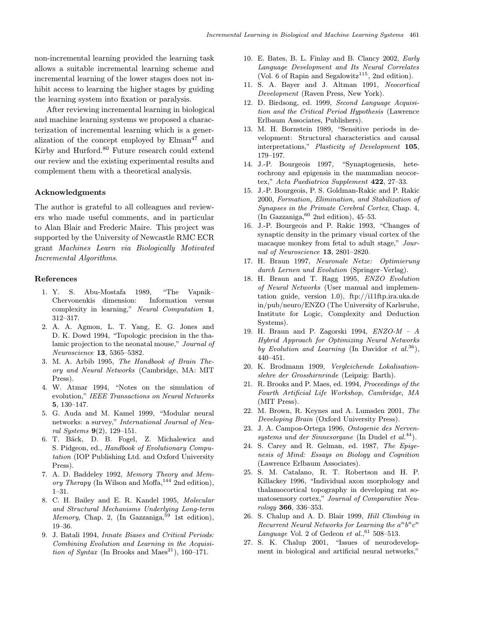non-incremental learning provided the learning task allows a suitable incremental learning scheme and incremental learning of the lower stages does not inhibit access to learning the higher stages by guiding the learning system into fixation or paralysis.

After reviewing incremental learning in biological and machine learning systems we proposed a characterization of incremental learning which is a generalization of the concept employed by  $E$ lman<sup>47</sup> and Kirby and Hurford.<sup>80</sup> Future research could extend our review and the existing experimental results and complement them with a theoretical analysis.

#### Acknowledgments

The author is grateful to all colleagues and reviewers who made useful comments, and in particular to Alan Blair and Frederic Maire. This project was supported by the University of Newcastle RMC ECR grant Machines Learn via Biologically Motivated Incremental Algorithms.

#### References

- 1. Y. S. Abu-Mostafa 1989, "The Vapnik– Chervonenkis dimension: Information versus complexity in learning," Neural Computation 1, 312–317.
- 2. A. A. Agmon, L. T. Yang, E. G. Jones and D. K. Dowd 1994, "Topologic precision in the thalamic projection to the neonatal mouse," Journal of Neuroscience 13, 5365–5382.
- 3. M. A. Arbib 1995, The Handbook of Brain Theory and Neural Networks (Cambridge, MA: MIT Press).
- 4. W. Atmar 1994, "Notes on the simulation of evolution," IEEE Transactions on Neural Networks 5, 130–147.
- 5. G. Auda and M. Kamel 1999, "Modular neural networks: a survey," International Journal of Neural Systems 9(2), 129–151.
- 6. T. Bäck, D. B. Fogel, Z. Michalewicz and S. Pidgeon, ed., Handbook of Evolutionary Computation (IOP Publishing Ltd. and Oxford University Press).
- 7. A. D. Baddeley 1992, Memory Theory and Memory Therapy (In Wilson and Moffa,  $144$  2nd edition), 1–31.
- 8. C. H. Bailey and E. R. Kandel 1995, Molecular and Structural Mechanisms Underlying Long-term Memory, Chap. 2, (In Gazzaniga,  $59$  1st edition), 19–36.
- 9. J. Batali 1994, Innate Biases and Critical Periods: Combining Evolution and Learning in the Acquisition of Syntax (In Brooks and Maes<sup>21</sup>), 160–171.
- 10. E. Bates, B. L. Finlay and B. Clancy 2002, Early Language Development and Its Neural Correlates (Vol. 6 of Rapin and Segalowitz<sup>115</sup>, 2nd edition).
- 11. S. A. Bayer and J. Altman 1991, Neocortical Development (Raven Press, New York).
- 12. D. Birdsong, ed. 1999, Second Language Acquisition and the Critical Period Hypothesis (Lawrence Erlbaum Associates, Publishers).
- 13. M. H. Bornstein 1989, "Sensitive periods in development: Structural characteristics and causal interpretations," Plasticity of Development 105, 179–197.
- 14. J.-P. Bourgeois 1997, "Synaptogenesis, heterochrony and epigensis in the mammalian neocortex," Acta Paediatrica Supplement 422, 27–33.
- 15. J.-P. Bourgeois, P. S. Goldman-Rakic and P. Rakic 2000, Formation, Elimination, and Stabilization of Synapses in the Primate Cerebral Cortex, Chap. 4, (In Gazzaniga, $60$  2nd edition), 45–53.
- 16. J.-P. Bourgeois and P. Rakic 1993, "Changes of synaptic density in the primary visual cortex of the macaque monkey from fetal to adult stage," Journal of Neuroscience 13, 2801–2820.
- 17. H. Braun 1997, Neuronale Netze: Optimierung durch Lernen und Evolution (Springer–Verlag).
- 18. H. Braun and T. Ragg 1995, ENZO Evolution of Neural Networks (User manual and implementation guide, version 1.0), ftp://i11ftp.ira.uka.de in/pub/neuro/ENZO (The University of Karlsruhe, Institute for Logic, Complexity and Deduction Systems).
- 19. H. Braun and P. Zagorski 1994,  $ENZO-M A$ Hybrid Approach for Optimizing Neural Networks by Evolution and Learning (In Davidor et al.<sup>36</sup>), 440–451.
- 20. K. Brodmann 1909, Vergleichende Lokalisationslehre der Grosshirnrinde (Leipzig: Barth).
- 21. R. Brooks and P. Maes, ed. 1994, Proceedings of the Fourth Artificial Life Workshop, Cambridge, MA (MIT Press).
- 22. M. Brown, R. Keynes and A. Lumsden 2001, The Developing Brain (Oxford University Press).
- 23. J. A. Campos-Ortega 1996, Ontogenie des Nervensystems und der Sinnesorgane (In Dudel et al. $44$ ).
- 24. S. Carey and R. Gelman, ed. 1987, The Epigenesis of Mind: Essays on Biology and Cognition (Lawrence Erlbaum Associates).
- 25. S. M. Catalano, R. T. Robertson and H. P. Killackey 1996, "Individual axon morphology and thalamocortical topography in developing rat somatosensory cortex," Journal of Comparative Neurology 366, 336–353.
- 26. S. Chalup and A. D. Blair 1999, Hill Climbing in Recurrent Neural Networks for Learning the  $a^nb^nc^n$ Language Vol. 2 of Gedeon et al.,  $61$  508-513.
- 27. S. K. Chalup 2001, "Issues of neurodevelopment in biological and artificial neural networks,"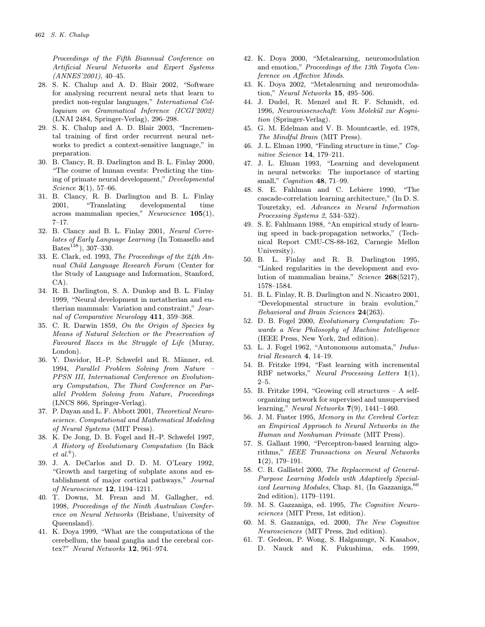Proceedings of the Fifth Biannual Conference on Artificial Neural Networks and Expert Systems (ANNES'2001), 40–45.

- 28. S. K. Chalup and A. D. Blair 2002, "Software for analysing recurrent neural nets that learn to predict non-regular languages," International Colloquium on Grammatical Inference (ICGI'2002) (LNAI 2484, Springer-Verlag), 296–298.
- 29. S. K. Chalup and A. D. Blair 2003, "Incremental training of first order recurrent neural networks to predict a context-sensitive language," in preparation.
- 30. B. Clancy, R. B. Darlington and B. L. Finlay 2000, "The course of human events: Predicting the timing of primate neural development," Developmental Science **3**(1), 57–66.
- 31. B. Clancy, R. B. Darlington and B. L. Finlay 2001, "Translating developmental time across mammalian species," Neurocience  $105(1)$ , 7–17.
- 32. B. Clancy and B. L. Finlay 2001, Neural Correlates of Early Language Learning (In Tomasello and Bates<sup>138</sup>), 307-330.
- 33. E. Clark, ed. 1993, The Proceedings of the 24th Annual Child Language Research Forum (Center for the Study of Language and Information, Stanford, CA).
- 34. R. B. Darlington, S. A. Dunlop and B. L. Finlay 1999, "Neural development in metatherian and eutherian mammals: Variation and constraint," Journal of Comparative Neurology 411, 359–368.
- 35. C. R. Darwin 1859, On the Origin of Species by Means of Natural Selection or the Preservation of Favoured Races in the Struggle of Life (Muray, London).
- 36. Y. Davidor, H.-P. Schwefel and R. Männer, ed. 1994, Parallel Problem Solving from Nature – PPSN III, International Conference on Evolutionary Computation, The Third Conference on Parallel Problem Solving from Nature, Proceedings (LNCS 866, Springer-Verlag).
- 37. P. Dayan and L. F. Abbott 2001, Theoretical Neuroscience. Computational and Mathematical Modeling of Neural Systems (MIT Press).
- 38. K. De Jong, D. B. Fogel and H.-P. Schwefel 1997, A History of Evolutionary Computation (In Bäck  $et~al.^6$ ).
- 39. J. A. DeCarlos and D. D. M. O'Leary 1992, "Growth and targeting of subplate axons and establishment of major cortical pathways," Journal of Neuroscience 12, 1194–1211.
- 40. T. Downs, M. Frean and M. Gallagher, ed. 1998, Proceedings of the Ninth Australian Conference on Neural Networks (Brisbane, University of Queensland).
- 41. K. Doya 1999, "What are the computations of the cerebellum, the basal ganglia and the cerebral cortex?" Neural Networks 12, 961–974.
- 42. K. Doya 2000, "Metalearning, neuromodulation and emotion," Proceedings of the 13th Toyota Conference on Affective Minds.
- 43. K. Doya 2002, "Metalearning and neuromodulation," Neural Networks 15, 495–506.
- 44. J. Dudel, R. Menzel and R. F. Schmidt, ed. 1996, Neurowissenschaft: Vom Molekül zur Kognition (Springer-Verlag).
- 45. G. M. Edelman and V. B. Mountcastle, ed. 1978, The Mindful Brain (MIT Press).
- 46. J. L. Elman 1990, "Finding structure in time," Cognitive Science 14, 179–211.
- 47. J. L. Elman 1993, "Learning and development in neural networks: The importance of starting small," Cognition 48, 71–99.
- 48. S. E. Fahlman and C. Lebiere 1990, "The cascade-correlation learning architecture," (In D. S. Touretzky, ed. Advances in Neural Information Processing Systems 2, 534–532).
- 49. S. E. Fahlmann 1988, "An empirical study of learning speed in back-propagation networks," (Technical Report CMU-CS-88-162, Carnegie Mellon University).
- 50. B. L. Finlay and R. B. Darlington 1995, "Linked regularities in the development and evolution of mammalian brains," Science 268(5217), 1578–1584.
- 51. B. L. Finlay, R. B. Darlington and N. Nicastro 2001, "Developmental structure in brain evolution," Behavioral and Brain Sciences 24(263).
- 52. D. B. Fogel 2000, Evolutionary Computation: Towards a New Philosophy of Machine Intelligence (IEEE Press, New York, 2nd edition).
- 53. L. J. Fogel 1962, "Autonomous automata," Industrial Research 4, 14–19.
- 54. B. Fritzke 1994, "Fast learning with incremental RBF networks," Neural Processing Letters 1(1),  $2 - 5.$
- 55. B. Fritzke 1994, "Growing cell structures A selforganizing network for supervised and unsupervised learning," Neural Networks  $7(9)$ , 1441–1460.
- 56. J. M. Fuster 1995, Memory in the Cerebral Cortex: an Empirical Approach to Neural Networks in the Human and Nonhuman Primate (MIT Press).
- 57. S. Gallant 1990, "Perceptron-based learning algorithms," IEEE Transactions on Neural Networks 1(2), 179–191.
- 58. C. R. Gallistel 2000, The Replacement of General-Purpose Learning Models with Adaptively Specialized Learning Modules, Chap. 81,  $(\text{In Gazaniga}, \text{60})$ 2nd edition), 1179–1191.
- 59. M. S. Gazzaniga, ed. 1995, The Cognitive Neurosciences (MIT Press, 1st edition).
- 60. M. S. Gazzaniga, ed. 2000, The New Cognitive Neurosciences (MIT Press, 2nd edition).
- 61. T. Gedeon, P. Wong, S. Halgamuge, N. Kasabov, D. Nauck and K. Fukushima, eds. 1999,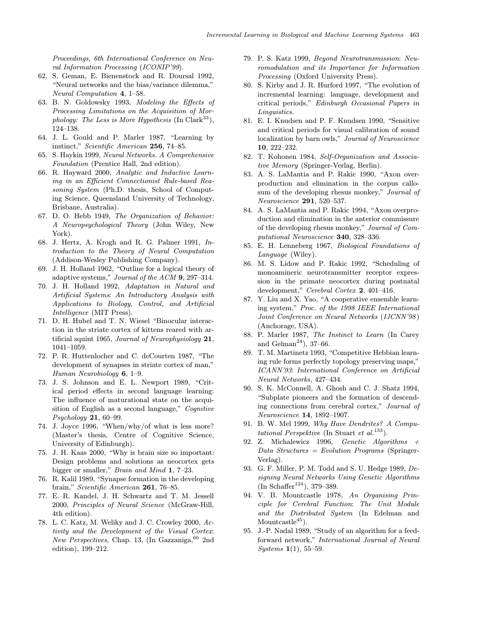Proceedings, 6th International Conference on Neural Information Processing (ICONIP'99).

- 62. S. Geman, E. Bienenstock and R. Doursal 1992, "Neural networks and the bias/variance dilemma," Neural Computation 4, 1–58.
- 63. B. N. Goldowsky 1993, Modeling the Effects of Processing Limitations on the Acquisition of Morphology: The Less is More Hypothesis (In Clark<sup>33</sup>), 124–138.
- 64. J. L. Gould and P. Marler 1987, "Learning by instinct," Scientific American 256, 74–85.
- 65. S. Haykin 1999, Neural Networks. A Comprehensive Foundation (Prentice Hall, 2nd edition).
- 66. R. Hayward 2000, Analytic and Inductive Learning in an Efficient Connectionist Rule-based Reasoning System (Ph.D. thesis, School of Computing Science, Queensland University of Technology, Brisbane, Australia).
- 67. D. O. Hebb 1949, The Organization of Behavior: A Neuropsychological Theory (John Wiley, New York).
- 68. J. Hertz, A. Krogh and R. G. Palmer 1991, Introduction to the Theory of Neural Computation (Addison-Wesley Publishing Company).
- 69. J. H. Holland 1962, "Outline for a logical theory of adaptive systems," Journal of the ACM 9, 297–314.
- 70. J. H. Holland 1992, Adaptation in Natural and Artificial Systems: An Introductory Analysis with Applications to Biology, Control, and Artificial Intelligence (MIT Press).
- 71. D. H. Hubel and T. N. Wiesel "Binocular interaction in the striate cortex of kittens reared with artificial squint 1965, Journal of Neurophysiology 21, 1041–1059.
- 72. P. R. Huttenlocher and C. deCourten 1987, "The development of synapses in striate cortex of man," Human Neurobiology 6, 1–9.
- 73. J. S. Johnson and E. L. Newport 1989, "Critical period effects in second language learning: The influence of maturational state on the acquisition of English as a second language," Cognitive Psychology 21, 60–99.
- 74. J. Joyce 1996, "When/why/of what is less more? (Master's thesis, Centre of Cognitive Science, University of Edinburgh).
- 75. J. H. Kaas 2000, "Why is brain size so important: Design problems and solutions as neocortex gets bigger or smaller," Brain and Mind 1, 7–23.
- 76. R. Kalil 1989, "Synapse formation in the developing brain," Scientific American 261, 76–85.
- 77. E. R. Kandel, J. H. Schwartz and T. M. Jessell 2000, Principles of Neural Science (McGraw-Hill, 4th edition).
- 78. L. C. Katz, M. Weliky and J. C. Crowley 2000, Activity and the Development of the Visual Cortex: New Perspectives, Chap. 13, (In Gazzaniga,  $60$  2nd edition), 199–212.
- 79. P. S. Katz 1999, Beyond Neurotransmission: Neuromodulation and its Importance for Information Processing (Oxford University Press).
- 80. S. Kirby and J. R. Hurford 1997, "The evolution of incremental learning: language, development and critical periods," Edinburgh Occasional Papers in Linguistics.
- 81. E. I. Knudsen and P. F. Knudsen 1990, "Sensitive and critical periods for visual calibration of sound localization by barn owls," Journal of Neuroscience 10, 222–232.
- 82. T. Kohonen 1984, Self-Organization and Associative Memory (Springer-Verlag, Berlin).
- 83. A. S. LaMantia and P. Rakic 1990, "Axon overproduction and elimination in the corpus callosum of the developing rhesus monkey," Journal of Neuroscience 291, 520–537.
- 84. A. S. LaMantia and P. Rakic 1994, "Axon overproduction and elimination in the anterior commissure of the developing rhesus monkey," Journal of Computational Neuroscience 340, 328–336.
- 85. E. H. Lenneberg 1967, Biological Foundations of Language (Wiley).
- 86. M. S. Lidow and P. Rakic 1992, "Scheduling of monoamineric neurotransmitter receptor expression in the primate neocortex during postnatal development," Cerebral Cortex 2, 401–416.
- 87. Y. Liu and X. Yao, "A cooperative ensemble learning system," Proc. of the 1998 IEEE International Joint Conference on Neural Networks (IJCNN'98) (Anchorage, USA).
- 88. P. Marler 1987, The Instinct to Learn (In Carey and Gelman<sup>24</sup>), 37-66.
- 89. T. M. Martinetz 1993, "Competitive Hebbian learning rule forms perfectly topology preserving maps," ICANN'93: International Conference on Artificial Neural Networks, 427–434.
- 90. S. K. McConnell, A. Ghosh and C. J. Shatz 1994, "Subplate pioneers and the formation of descending connections from cerebral cortex," Journal of Neuroscience 14, 1892–1907.
- 91. B. W. Mel 1999, Why Have Dendrites? A Computational Perspektive (In Stuart et al.  $133$ ).
- 92. Z. Michalewicz 1996, Genetic Algorithms + Data Structures = Evolution Programs (Springer-Verlag).
- 93. G. F. Miller, P. M. Todd and S. U. Hedge 1989, Designing Neural Networks Using Genetic Algorithms  $(In Schaffer<sup>124</sup>)$ , 379-389.
- 94. V. B. Mountcastle 1978, An Organising Principle for Cerebral Function: The Unit Module and the Distributed System (In Edelman and Mountcastle $45$ ).
- 95. J.-P. Nadal 1989, "Study of an algorithm for a feedforward network," International Journal of Neural Systems 1(1), 55–59.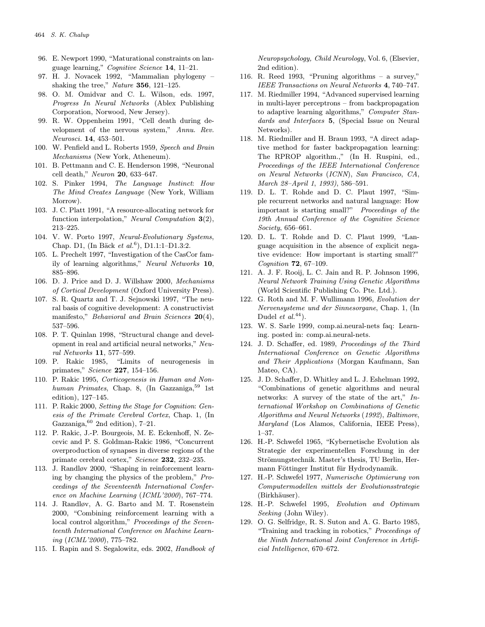- 96. E. Newport 1990, "Maturational constraints on language learning," Cognitive Science 14, 11–21.
- 97. H. J. Novacek 1992, "Mammalian phylogeny shaking the tree," *Nature* **356**, 121–125.
- 98. O. M. Omidvar and C. L. Wilson, eds. 1997, Progress In Neural Networks (Ablex Publishing Corporation, Norwood, New Jersey).
- 99. R. W. Oppenheim 1991, "Cell death during development of the nervous system," Annu. Rev. Neurosci. 14, 453–501.
- 100. W. Penfield and L. Roberts 1959, Speech and Brain Mechanisms (New York, Atheneum).
- 101. B. Pettmann and C. E. Henderson 1998, "Neuronal cell death," Neuron 20, 633–647.
- 102. S. Pinker 1994, The Language Instinct: How The Mind Creates Language (New York, William Morrow).
- 103. J. C. Platt 1991, "A resource-allocating network for function interpolation," Neural Computation 3(2), 213–225.
- 104. V. W. Porto 1997, Neural-Evolutionary Systems, Chap. D1, (In Bäck et al.<sup>6</sup>), D1.1:1–D1.3:2.
- 105. L. Prechelt 1997, "Investigation of the CasCor family of learning algorithms," Neural Networks 10, 885–896.
- 106. D. J. Price and D. J. Willshaw 2000, Mechanisms of Cortical Development (Oxford University Press).
- 107. S. R. Quartz and T. J. Sejnowski 1997, "The neural basis of cognitive development: A constructivist manifesto," Behavioral and Brain Sciences 20(4), 537–596.
- 108. P. T. Quinlan 1998, "Structural change and development in real and artificial neural networks," Neural Networks 11, 577–599.
- 109. P. Rakic 1985, "Limits of neurogenesis in primates," Science 227, 154–156.
- 110. P. Rakic 1995, Corticogenesis in Human and Nonhuman Primates, Chap. 8, (In Gazzaniga,  $59$  1st edition), 127–145.
- 111. P. Rakic 2000, Setting the Stage for Cognition: Genesis of the Primate Cerebral Cortex, Chap. 1, (In Gazzaniga,  $60$  2nd edition), 7-21.
- 112. P. Rakic, J.-P. Bourgeois, M. E. Eckenhoff, N. Zecevic and P. S. Goldman-Rakic 1986, "Concurrent overproduction of synapses in diverse regions of the primate cerebral cortex," Science 232, 232–235.
- 113. J. Randløv 2000, "Shaping in reinforcement learning by changing the physics of the problem," Proceedings of the Seventeenth International Conference on Machine Learning (ICML'2000), 767–774.
- 114. J. Randløv, A. G. Barto and M. T. Rosenstein 2000, "Combining reinforcement learning with a local control algorithm," Proceedings of the Seventeenth International Conference on Machine Learning (ICML'2000), 775–782.
- 115. I. Rapin and S. Segalowitz, eds. 2002, Handbook of

Neuropsychology, Child Neurology, Vol. 6, (Elsevier, 2nd edition).

- 116. R. Reed 1993, "Pruning algorithms a survey," IEEE Transactions on Neural Networks 4, 740–747.
- 117. M. Riedmiller 1994, "Advanced supervised learning in multi-layer perceptrons – from backpropagation to adaptive learning algorithms," Computer Standards and Interfaces 5, (Special Issue on Neural Networks).
- 118. M. Riedmiller and H. Braun 1993, "A direct adaptive method for faster backpropagation learning: The RPROP algorithm.," (In H. Ruspini, ed., Proceedings of the IEEE International Conference on Neural Networks (ICNN), San Francisco, CA, March 28–April 1, 1993), 586–591.
- 119. D. L. T. Rohde and D. C. Plaut 1997, "Simple recurrent networks and natural language: How important is starting small?" Proceedings of the 19th Annual Conference of the Cognitive Science Society, 656–661.
- 120. D. L. T. Rohde and D. C. Plaut 1999, "Language acquisition in the absence of explicit negative evidence: How important is starting small?" Cognition 72, 67–109.
- 121. A. J. F. Rooij, L. C. Jain and R. P. Johnson 1996, Neural Network Training Using Genetic Algorithms (World Scientific Publishing Co. Pte. Ltd.).
- 122. G. Roth and M. F. Wullimann 1996, Evolution der Nervensysteme und der Sinnesorgane, Chap. 1, (In Dudel et  $al.^{44}$ ).
- 123. W. S. Sarle 1999, comp.ai.neural-nets faq: Learning. posted in: comp.ai.neural-nets.
- 124. J. D. Schaffer, ed. 1989, Proceedings of the Third International Conference on Genetic Algorithms and Their Applications (Morgan Kaufmann, San Mateo, CA).
- 125. J. D. Schaffer, D. Whitley and L. J. Eshelman 1992, "Combinations of genetic algorithms and neural networks: A survey of the state of the art," International Workshop on Combinations of Genetic Algorithms and Neural Networks (1992), Baltimore, Maryland (Los Alamos, California, IEEE Press), 1–37.
- 126. H.-P. Schwefel 1965, "Kybernetische Evolution als Strategie der experimentellen Forschung in der Strömungstechnik. Master's thesis, TU Berlin, Hermann Föttinger Institut für Hydrodynamik.
- 127. H.-P. Schwefel 1977, Numerische Optimierung von Computermodellen mittels der Evolutionsstrategie (Birkhäuser).
- 128. H.-P. Schwefel 1995, Evolution and Optimum Seeking (John Wiley).
- 129. O. G. Selfridge, R. S. Suton and A. G. Barto 1985, "Training and tracking in robotics," Proceedings of the Ninth International Joint Conference in Artificial Intelligence, 670–672.